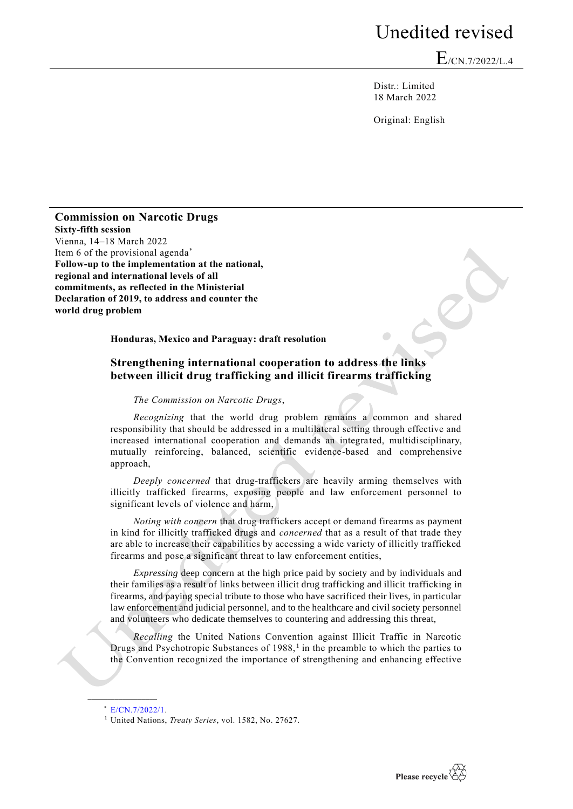## Unedited revised

E/CN.7/2022/L.4

Distr.: Limited 18 March 2022

Original: English

**Commission on Narcotic Drugs Sixty-fifth session** Vienna, 14–18 March 2022 Item 6 of the provisional agenda<sup>\*</sup> **Follow-up to the implementation at the national, regional and international levels of all commitments, as reflected in the Ministerial Declaration of 2019, to address and counter the world drug problem**

**Honduras, Mexico and Paraguay: draft resolution**

## **Strengthening international cooperation to address the links between illicit drug trafficking and illicit firearms trafficking**

*The Commission on Narcotic Drugs*,

*Recognizing* that the world drug problem remains a common and shared responsibility that should be addressed in a multilateral setting through effective and increased international cooperation and demands an integrated, multidisciplinary, mutually reinforcing, balanced, scientific evidence-based and comprehensive approach,

*Deeply concerned* that drug-traffickers are heavily arming themselves with illicitly trafficked firearms, exposing people and law enforcement personnel to significant levels of violence and harm,

*Noting with concern* that drug traffickers accept or demand firearms as payment in kind for illicitly trafficked drugs and *concerned* that as a result of that trade they are able to increase their capabilities by accessing a wide variety of illicitly trafficked firearms and pose a significant threat to law enforcement entities,

*Expressing* deep concern at the high price paid by society and by individuals and their families as a result of links between illicit drug trafficking and illicit trafficking in firearms, and paying special tribute to those who have sacrificed their lives, in particular law enforcement and judicial personnel, and to the healthcare and civil society personnel and volunteers who dedicate themselves to countering and addressing this threat,

*Recalling* the United Nations Convention against Illicit Traffic in Narcotic Drugs and Psychotropic Substances of 1988,<sup>1</sup> in the preamble to which the parties to the Convention recognized the importance of strengthening and enhancing effective

**\_\_\_\_\_\_\_\_\_\_\_\_\_\_\_\_\_\_**



<sup>\*</sup> [E/CN.7/2022/1.](http://undocs.org/E/CN.7/2022/1)

<sup>1</sup> United Nations, *Treaty Series*, vol. 1582, No. 27627.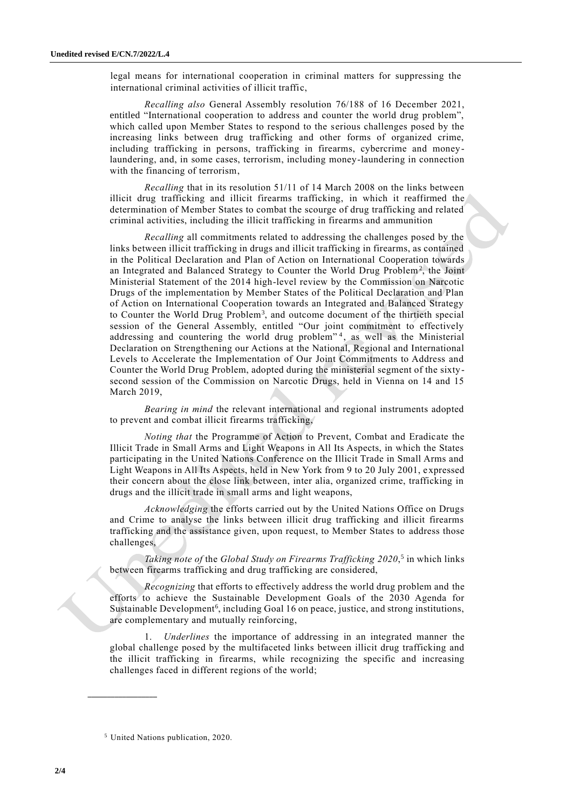legal means for international cooperation in criminal matters for suppressing the international criminal activities of illicit traffic,

*Recalling also* General Assembly resolution [76/188](http://undocs.org/A/RES/76/188) of 16 December 2021, entitled "International cooperation to address and counter the world drug problem", which called upon Member States to respond to the serious challenges posed by the increasing links between drug trafficking and other forms of organized crime, including trafficking in persons, trafficking in firearms, cybercrime and money laundering, and, in some cases, terrorism, including money-laundering in connection with the financing of terrorism,

*Recalling* that in its resolution 51/11 of 14 March 2008 on the links between illicit drug trafficking and illicit firearms trafficking, in which it reaffirmed the determination of Member States to combat the scourge of drug trafficking and related criminal activities, including the illicit trafficking in firearms and ammunition

*Recalling* all commitments related to addressing the challenges posed by the links between illicit trafficking in drugs and illicit trafficking in firearms, as contained in the Political Declaration and Plan of Action on International Cooperation towards an Integrated and Balanced Strategy to Counter the World Drug Problem<sup>2</sup>, the Joint Ministerial Statement of the 2014 high-level review by the Commission on Narcotic Drugs of the implementation by Member States of the Political Declaration and Plan of Action on International Cooperation towards an Integrated and Balanced Strategy to Counter the World Drug Problem<sup>3</sup>, and outcome document of the thirtieth special session of the General Assembly, entitled "Our joint commitment to effectively addressing and countering the world drug problem"<sup>4</sup>, as well as the Ministerial Declaration on Strengthening our Actions at the National, Regional and International Levels to Accelerate the Implementation of Our Joint Commitments to Address and Counter the World Drug Problem, adopted during the ministerial segment of the sixty second session of the Commission on Narcotic Drugs, held in Vienna on 14 and 15 March 2019,

*Bearing in mind* the relevant international and regional instruments adopted to prevent and combat illicit firearms trafficking,

*Noting that* the Programme of Action to Prevent, Combat and Eradicate the Illicit Trade in Small Arms and Light Weapons in All Its Aspects, in which the States participating in the United Nations Conference on the Illicit Trade in Small Arms and Light Weapons in All Its Aspects, held in New York from 9 to 20 July 2001, expressed their concern about the close link between, inter alia, organized crime, trafficking in drugs and the illicit trade in small arms and light weapons,

*Acknowledging* the efforts carried out by the United Nations Office on Drugs and Crime to analyse the links between illicit drug trafficking and illicit firearms trafficking and the assistance given, upon request, to Member States to address those challenges,

*Taking note of* the *Global Study on Firearms Trafficking 2020*, 5 in which links between firearms trafficking and drug trafficking are considered,

*Recognizing* that efforts to effectively address the world drug problem and the efforts to achieve the Sustainable Development Goals of the 2030 Agenda for Sustainable Development<sup>6</sup>, including Goal 16 on peace, justice, and strong institutions, are complementary and mutually reinforcing,

1. *Underlines* the importance of addressing in an integrated manner the global challenge posed by the multifaceted links between illicit drug trafficking and the illicit trafficking in firearms, while recognizing the specific and increasing challenges faced in different regions of the world;

**\_\_\_\_\_\_\_\_\_\_\_\_\_\_\_\_\_\_**

<sup>5</sup> United Nations publication, 2020.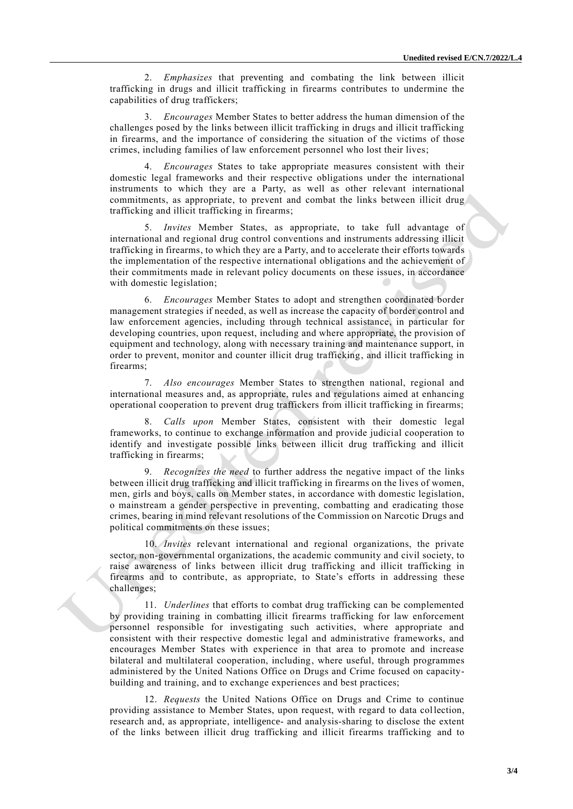2. *Emphasizes* that preventing and combating the link between illicit trafficking in drugs and illicit trafficking in firearms contributes to undermine the capabilities of drug traffickers;

3. *Encourages* Member States to better address the human dimension of the challenges posed by the links between illicit trafficking in drugs and illicit trafficking in firearms, and the importance of considering the situation of the victims of those crimes, including families of law enforcement personnel who lost their lives;

4. *Encourages* States to take appropriate measures consistent with their domestic legal frameworks and their respective obligations under the international instruments to which they are a Party, as well as other relevant international commitments, as appropriate, to prevent and combat the links between illicit drug trafficking and illicit trafficking in firearms;

5. *Invites* Member States, as appropriate, to take full advantage of international and regional drug control conventions and instruments addressing illicit trafficking in firearms, to which they are a Party, and to accelerate their efforts towards the implementation of the respective international obligations and the achievement of their commitments made in relevant policy documents on these issues, in accordance with domestic legislation;

6. *Encourages* Member States to adopt and strengthen coordinated border management strategies if needed, as well as increase the capacity of border control and law enforcement agencies, including through technical assistance, in particular for developing countries, upon request, including and where appropriate, the provision of equipment and technology, along with necessary training and maintenance support, in order to prevent, monitor and counter illicit drug trafficking, and illicit trafficking in firearms;

7. *Also encourages* Member States to strengthen national, regional and international measures and, as appropriate, rules and regulations aimed at enhancing operational cooperation to prevent drug traffickers from illicit trafficking in firearms;

8. *Calls upon* Member States, consistent with their domestic legal frameworks, to continue to exchange information and provide judicial cooperation to identify and investigate possible links between illicit drug trafficking and illicit trafficking in firearms;

9. *Recognizes the need* to further address the negative impact of the links between illicit drug trafficking and illicit trafficking in firearms on the lives of women, men, girls and boys, calls on Member states, in accordance with domestic legislation, o mainstream a gender perspective in preventing, combatting and eradicating those crimes, bearing in mind relevant resolutions of the Commission on Narcotic Drugs and political commitments on these issues;

10. *Invites* relevant international and regional organizations, the private sector, non-governmental organizations, the academic community and civil society, to raise awareness of links between illicit drug trafficking and illicit trafficking in firearms and to contribute, as appropriate, to State's efforts in addressing these challenges;

11. *Underlines* that efforts to combat drug trafficking can be complemented by providing training in combatting illicit firearms trafficking for law enforcement personnel responsible for investigating such activities, where appropriate and consistent with their respective domestic legal and administrative frameworks, and encourages Member States with experience in that area to promote and increase bilateral and multilateral cooperation, including, where useful, through programmes administered by the United Nations Office on Drugs and Crime focused on capacitybuilding and training, and to exchange experiences and best practices;

12. *Requests* the United Nations Office on Drugs and Crime to continue providing assistance to Member States, upon request, with regard to data collection, research and, as appropriate, intelligence- and analysis-sharing to disclose the extent of the links between illicit drug trafficking and illicit firearms trafficking and to